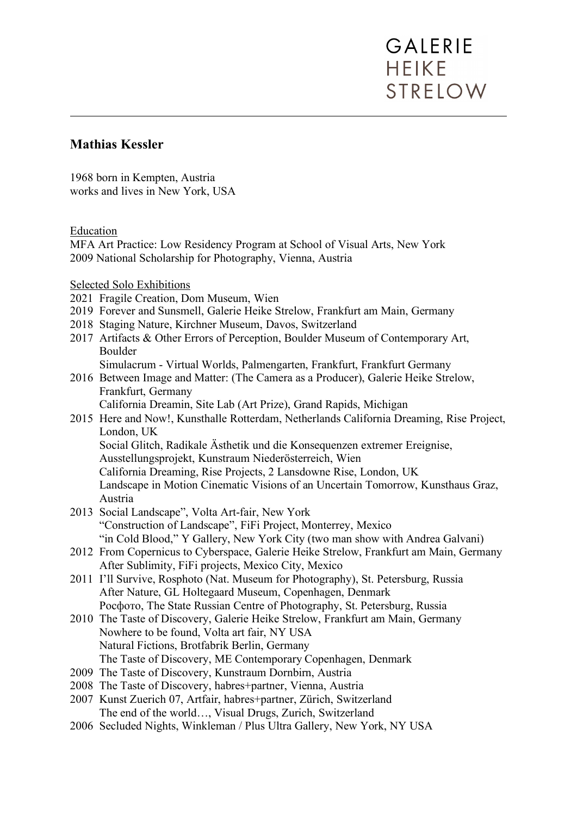### **Mathias Kessler**

1968 born in Kempten, Austria works and lives in New York, USA

Education

MFA Art Practice: Low Residency Program at School of Visual Arts, New York 2009 National Scholarship for Photography, Vienna, Austria

Selected Solo Exhibitions

- 2021 Fragile Creation, Dom Museum, Wien
- 2019 Forever and Sunsmell, Galerie Heike Strelow, Frankfurt am Main, Germany
- 2018 Staging Nature, Kirchner Museum, Davos, Switzerland
- 2017 Artifacts & Other Errors of Perception, Boulder Museum of Contemporary Art, Boulder
	- Simulacrum Virtual Worlds, Palmengarten, Frankfurt, Frankfurt Germany
- 2016 Between Image and Matter: (The Camera as a Producer), Galerie Heike Strelow, Frankfurt, Germany

California Dreamin, Site Lab (Art Prize), Grand Rapids, Michigan

2015 Here and Now!, Kunsthalle Rotterdam, Netherlands California Dreaming, Rise Project, London, UK

Social Glitch, Radikale Ästhetik und die Konsequenzen extremer Ereignise,

Ausstellungsprojekt, Kunstraum Niederösterreich, Wien

California Dreaming, Rise Projects, 2 Lansdowne Rise, London, UK

 Landscape in Motion Cinematic Visions of an Uncertain Tomorrow, Kunsthaus Graz, Austria

- 2013 Social Landscape", Volta Art-fair, New York "Construction of Landscape", FiFi Project, Monterrey, Mexico "in Cold Blood," Y Gallery, New York City (two man show with Andrea Galvani)
- 2012 From Copernicus to Cyberspace, Galerie Heike Strelow, Frankfurt am Main, Germany After Sublimity, FiFi projects, Mexico City, Mexico
- 2011 I'll Survive, Rosphoto (Nat. Museum for Photography), St. Petersburg, Russia After Nature, GL Holtegaard Museum, Copenhagen, Denmark Рοсфото, The State Russian Centre of Photography, St. Petersburg, Russia
- 2010 The Taste of Discovery, Galerie Heike Strelow, Frankfurt am Main, Germany Nowhere to be found, Volta art fair, NY USA Natural Fictions, Brotfabrik Berlin, Germany The Taste of Discovery, ME Contemporary Copenhagen, Denmark
- 2009 The Taste of Discovery, Kunstraum Dornbirn, Austria
- 2008 The Taste of Discovery, habres+partner, Vienna, Austria
- 2007 Kunst Zuerich 07, Artfair, habres+partner, Zürich, Switzerland The end of the world…, Visual Drugs, Zurich, Switzerland
- 2006 Secluded Nights, Winkleman / Plus Ultra Gallery, New York, NY USA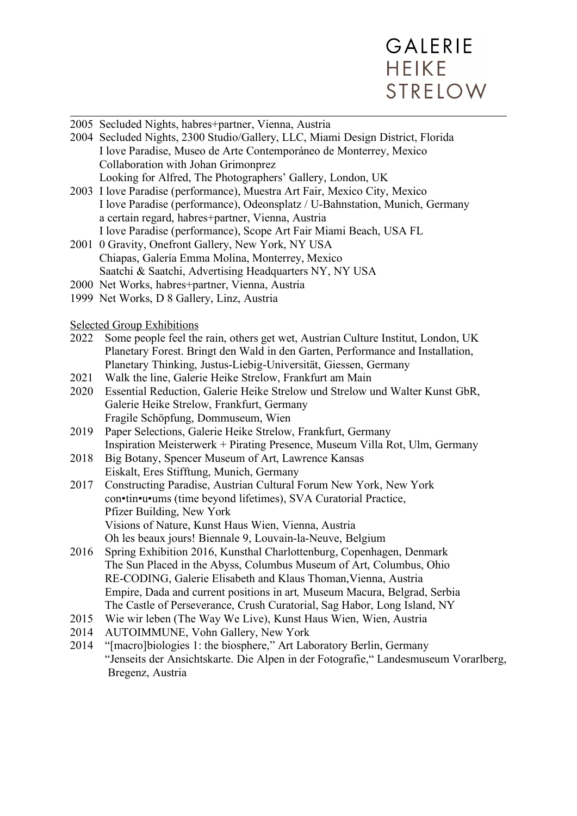

| 2005 Secluded Nights, habres+partner, Vienna, Austria                                    |  |
|------------------------------------------------------------------------------------------|--|
| 2004 Secluded Nights, 2300 Studio/Gallery, LLC, Miami Design District, Florida           |  |
| I love Paradise, Museo de Arte Contemporáneo de Monterrey, Mexico                        |  |
| Collaboration with Johan Grimonprez                                                      |  |
| Looking for Alfred, The Photographers' Gallery, London, UK                               |  |
| 2003 I love Paradise (performance), Muestra Art Fair, Mexico City, Mexico                |  |
| I love Paradise (performance), Odeonsplatz / U-Bahnstation, Munich, Germany              |  |
| a certain regard, habres+partner, Vienna, Austria                                        |  |
| I love Paradise (performance), Scope Art Fair Miami Beach, USA FL                        |  |
| 2001 0 Gravity, Onefront Gallery, New York, NY USA                                       |  |
| Chiapas, Galería Emma Molina, Monterrey, Mexico                                          |  |
| Saatchi & Saatchi, Advertising Headquarters NY, NY USA                                   |  |
| 2000 Net Works, habres+partner, Vienna, Austria                                          |  |
| 1999 Net Works, D 8 Gallery, Linz, Austria                                               |  |
|                                                                                          |  |
| <b>Selected Group Exhibitions</b>                                                        |  |
| Some people feel the rain, others get wet, Austrian Culture Institut, London, UK<br>2022 |  |
| Planetary Forest. Bringt den Wald in den Garten, Performance and Installation,           |  |
| Planetary Thinking, Justus-Liebig-Universität, Giessen, Germany                          |  |
| Walk the line, Galerie Heike Strelow, Frankfurt am Main<br>2021                          |  |
| Essential Reduction, Galerie Heike Strelow und Strelow und Walter Kunst GbR,<br>2020     |  |
| Galerie Heike Strelow, Frankfurt, Germany                                                |  |
| Fragile Schöpfung, Dommuseum, Wien                                                       |  |
| Paper Selections, Galerie Heike Strelow, Frankfurt, Germany<br>2019                      |  |
| Inspiration Meisterwerk + Pirating Presence, Museum Villa Rot, Ulm, Germany              |  |
| Big Botany, Spencer Museum of Art, Lawrence Kansas<br>2018                               |  |
| Eiskalt, Eres Stifftung, Munich, Germany                                                 |  |

- 2017 Constructing Paradise, Austrian Cultural Forum New York, New York con•tin•u•ums (time beyond lifetimes), SVA Curatorial Practice, Pfizer Building, New York Visions of Nature, Kunst Haus Wien, Vienna, Austria Oh les beaux jours! Biennale 9, Louvain-la-Neuve, Belgium
- 2016 Spring Exhibition 2016, Kunsthal Charlottenburg, Copenhagen, Denmark The Sun Placed in the Abyss, Columbus Museum of Art, Columbus, Ohio RE-CODING, Galerie Elisabeth and Klaus Thoman,Vienna, Austria Empire, Dada and current positions in art*,* Museum Macura, Belgrad, Serbia The Castle of Perseverance, Crush Curatorial, Sag Habor, Long Island, NY
- 2015 Wie wir leben (The Way We Live), Kunst Haus Wien, Wien, Austria
- 2014 AUTOIMMUNE, Vohn Gallery, New York
- 2014 "[macro]biologies 1: the biosphere," Art Laboratory Berlin, Germany "Jenseits der Ansichtskarte. Die Alpen in der Fotografie," Landesmuseum Vorarlberg, Bregenz, Austria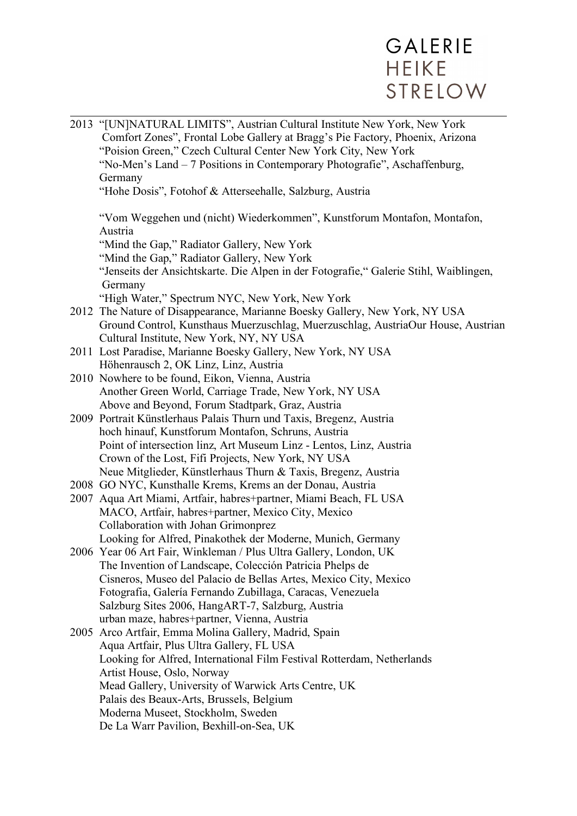|  | 2013 "[UN]NATURAL LIMITS", Austrian Cultural Institute New York, New York<br>Comfort Zones", Frontal Lobe Gallery at Bragg's Pie Factory, Phoenix, Arizona<br>"Poision Green," Czech Cultural Center New York City, New York<br>"No-Men's Land - 7 Positions in Contemporary Photografie", Aschaffenburg, |
|--|-----------------------------------------------------------------------------------------------------------------------------------------------------------------------------------------------------------------------------------------------------------------------------------------------------------|
|  | Germany<br>"Hohe Dosis", Fotohof & Atterseehalle, Salzburg, Austria                                                                                                                                                                                                                                       |
|  | "Vom Weggehen und (nicht) Wiederkommen", Kunstforum Montafon, Montafon,                                                                                                                                                                                                                                   |
|  | Austria                                                                                                                                                                                                                                                                                                   |
|  | "Mind the Gap," Radiator Gallery, New York                                                                                                                                                                                                                                                                |
|  | "Mind the Gap," Radiator Gallery, New York                                                                                                                                                                                                                                                                |
|  | "Jenseits der Ansichtskarte. Die Alpen in der Fotografie," Galerie Stihl, Waiblingen,                                                                                                                                                                                                                     |
|  | Germany                                                                                                                                                                                                                                                                                                   |
|  | "High Water," Spectrum NYC, New York, New York                                                                                                                                                                                                                                                            |
|  | 2012 The Nature of Disappearance, Marianne Boesky Gallery, New York, NY USA                                                                                                                                                                                                                               |
|  | Ground Control, Kunsthaus Muerzuschlag, Muerzuschlag, AustriaOur House, Austrian                                                                                                                                                                                                                          |
|  | Cultural Institute, New York, NY, NY USA<br>2011 Lost Paradise, Marianne Boesky Gallery, New York, NY USA                                                                                                                                                                                                 |
|  | Höhenrausch 2, OK Linz, Linz, Austria                                                                                                                                                                                                                                                                     |
|  | 2010 Nowhere to be found, Eikon, Vienna, Austria                                                                                                                                                                                                                                                          |
|  | Another Green World, Carriage Trade, New York, NY USA                                                                                                                                                                                                                                                     |
|  | Above and Beyond, Forum Stadtpark, Graz, Austria                                                                                                                                                                                                                                                          |
|  | 2009 Portrait Künstlerhaus Palais Thurn und Taxis, Bregenz, Austria                                                                                                                                                                                                                                       |
|  | hoch hinauf, Kunstforum Montafon, Schruns, Austria                                                                                                                                                                                                                                                        |
|  | Point of intersection linz, Art Museum Linz - Lentos, Linz, Austria                                                                                                                                                                                                                                       |
|  | Crown of the Lost, Fifi Projects, New York, NY USA                                                                                                                                                                                                                                                        |
|  | Neue Mitglieder, Künstlerhaus Thurn & Taxis, Bregenz, Austria                                                                                                                                                                                                                                             |
|  | 2008 GO NYC, Kunsthalle Krems, Krems an der Donau, Austria                                                                                                                                                                                                                                                |
|  | 2007 Aqua Art Miami, Artfair, habres+partner, Miami Beach, FL USA                                                                                                                                                                                                                                         |
|  | MACO, Artfair, habres+partner, Mexico City, Mexico                                                                                                                                                                                                                                                        |
|  | Collaboration with Johan Grimonprez                                                                                                                                                                                                                                                                       |
|  | Looking for Alfred, Pinakothek der Moderne, Munich, Germany                                                                                                                                                                                                                                               |
|  | 2006 Year 06 Art Fair, Winkleman / Plus Ultra Gallery, London, UK                                                                                                                                                                                                                                         |
|  | The Invention of Landscape, Colección Patricia Phelps de<br>Cisneros, Museo del Palacio de Bellas Artes, Mexico City, Mexico                                                                                                                                                                              |
|  | Fotografia, Galería Fernando Zubillaga, Caracas, Venezuela                                                                                                                                                                                                                                                |
|  | Salzburg Sites 2006, HangART-7, Salzburg, Austria                                                                                                                                                                                                                                                         |
|  | urban maze, habres+partner, Vienna, Austria                                                                                                                                                                                                                                                               |
|  | 2005 Arco Artfair, Emma Molina Gallery, Madrid, Spain                                                                                                                                                                                                                                                     |
|  | Aqua Artfair, Plus Ultra Gallery, FL USA                                                                                                                                                                                                                                                                  |
|  | Looking for Alfred, International Film Festival Rotterdam, Netherlands                                                                                                                                                                                                                                    |
|  | Artist House, Oslo, Norway                                                                                                                                                                                                                                                                                |
|  | Mead Gallery, University of Warwick Arts Centre, UK                                                                                                                                                                                                                                                       |
|  | Palais des Beaux-Arts, Brussels, Belgium                                                                                                                                                                                                                                                                  |
|  | Moderna Museet, Stockholm, Sweden                                                                                                                                                                                                                                                                         |
|  | De La Warr Pavilion, Bexhill-on-Sea, UK                                                                                                                                                                                                                                                                   |
|  |                                                                                                                                                                                                                                                                                                           |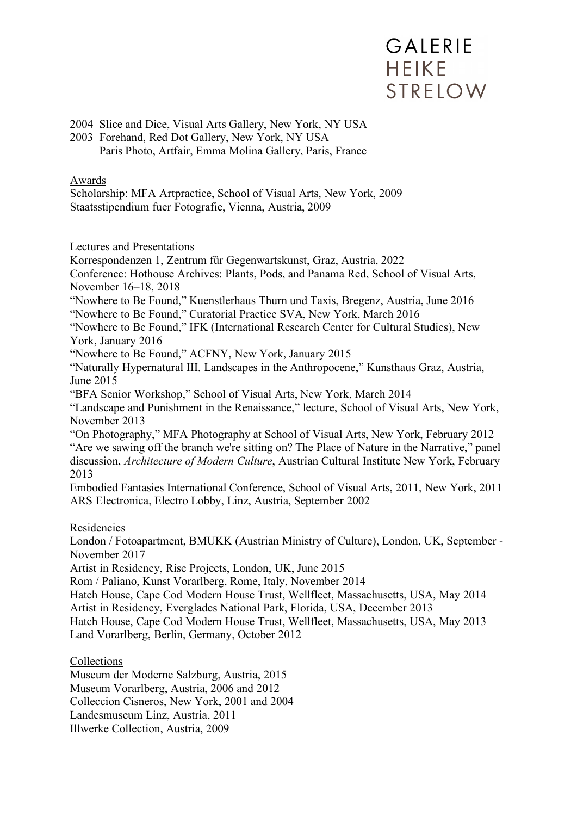2004 Slice and Dice, Visual Arts Gallery, New York, NY USA 2003 Forehand, Red Dot Gallery, New York, NY USA Paris Photo, Artfair, Emma Molina Gallery, Paris, France

#### Awards

Scholarship: MFA Artpractice, School of Visual Arts, New York, 2009 Staatsstipendium fuer Fotografie, Vienna, Austria, 2009

Lectures and Presentations

Korrespondenzen 1, Zentrum für Gegenwartskunst, Graz, Austria, 2022

Conference: Hothouse Archives: Plants, Pods, and Panama Red, School of Visual Arts, November 16–18, 2018

"Nowhere to Be Found," Kuenstlerhaus Thurn und Taxis, Bregenz, Austria, June 2016 "Nowhere to Be Found," Curatorial Practice SVA, New York, March 2016

"Nowhere to Be Found," IFK (International Research Center for Cultural Studies), New York, January 2016

"Nowhere to Be Found," ACFNY, New York, January 2015

"Naturally Hypernatural III. Landscapes in the Anthropocene," Kunsthaus Graz, Austria, June 2015

"BFA Senior Workshop," School of Visual Arts, New York, March 2014

"Landscape and Punishment in the Renaissance," lecture, School of Visual Arts, New York, November 2013

"On Photography," MFA Photography at School of Visual Arts, New York, February 2012 "Are we sawing off the branch we're sitting on? The Place of Nature in the Narrative," panel discussion, *Architecture of Modern Culture*, Austrian Cultural Institute New York, February 2013

Embodied Fantasies International Conference, School of Visual Arts, 2011, New York, 2011 ARS Electronica, Electro Lobby, Linz, Austria, September 2002

#### Residencies

London / Fotoapartment, BMUKK (Austrian Ministry of Culture), London, UK, September - November 2017

Artist in Residency, Rise Projects, London, UK, June 2015

Rom / Paliano, Kunst Vorarlberg, Rome, Italy, November 2014

Hatch House, Cape Cod Modern House Trust, Wellfleet, Massachusetts, USA, May 2014

Artist in Residency, Everglades National Park, Florida, USA, December 2013

Hatch House, Cape Cod Modern House Trust, Wellfleet, Massachusetts, USA, May 2013 Land Vorarlberg, Berlin, Germany, October 2012

**Collections** 

Museum der Moderne Salzburg, Austria, 2015

Museum Vorarlberg, Austria, 2006 and 2012

Colleccion Cisneros, New York, 2001 and 2004

Landesmuseum Linz, Austria, 2011

Illwerke Collection, Austria, 2009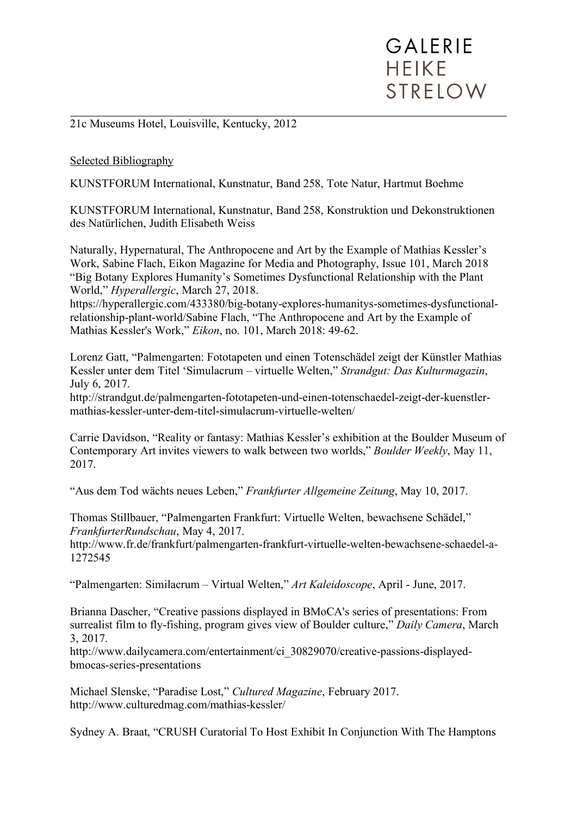21c Museums Hotel, Louisville, Kentucky, 2012

#### Selected Bibliography

KUNSTFORUM International, Kunstnatur, Band 258, Tote Natur, Hartmut Boehme

KUNSTFORUM International, Kunstnatur, Band 258, Konstruktion und Dekonstruktionen des Natürlichen, Judith Elisabeth Weiss

Naturally, Hypernatural, The Anthropocene and Art by the Example of Mathias Kessler's Work, Sabine Flach, Eikon Magazine for Media and Photography, Issue 101, March 2018 "Big Botany Explores Humanity's Sometimes Dysfunctional Relationship with the Plant World," *Hyperallergic*, March 27, 2018.

https://hyperallergic.com/433380/big-botany-explores-humanitys-sometimes-dysfunctionalrelationship-plant-world/Sabine Flach, "The Anthropocene and Art by the Example of Mathias Kessler's Work," *Eikon*, no. 101, March 2018: 49-62.

Lorenz Gatt, "Palmengarten: Fototapeten und einen Totenschädel zeigt der Künstler Mathias Kessler unter dem Titel 'Simulacrum – virtuelle Welten," *Strandgut: Das Kulturmagazin*, July 6, 2017.

http://strandgut.de/palmengarten-fototapeten-und-einen-totenschaedel-zeigt-der-kuenstlermathias-kessler-unter-dem-titel-simulacrum-virtuelle-welten/

Carrie Davidson, "Reality or fantasy: Mathias Kessler's exhibition at the Boulder Museum of Contemporary Art invites viewers to walk between two worlds," *Boulder Weekly*, May 11, 2017.

"Aus dem Tod wächts neues Leben," *Frankfurter Allgemeine Zeitung*, May 10, 2017.

Thomas Stillbauer, "Palmengarten Frankfurt: Virtuelle Welten, bewachsene Schädel," *FrankfurterRundschau*, May 4, 2017.

http://www.fr.de/frankfurt/palmengarten-frankfurt-virtuelle-welten-bewachsene-schaedel-a-1272545

"Palmengarten: Similacrum – Virtual Welten," *Art Kaleidoscope*, April - June, 2017.

Brianna Dascher, "Creative passions displayed in BMoCA's series of presentations: From surrealist film to fly-fishing, program gives view of Boulder culture," *Daily Camera*, March 3, 2017.

http://www.dailycamera.com/entertainment/ci\_30829070/creative-passions-displayedbmocas-series-presentations

Michael Slenske, "Paradise Lost," *Cultured Magazine*, February 2017. http://www.culturedmag.com/mathias-kessler/

Sydney A. Braat, "CRUSH Curatorial To Host Exhibit In Conjunction With The Hamptons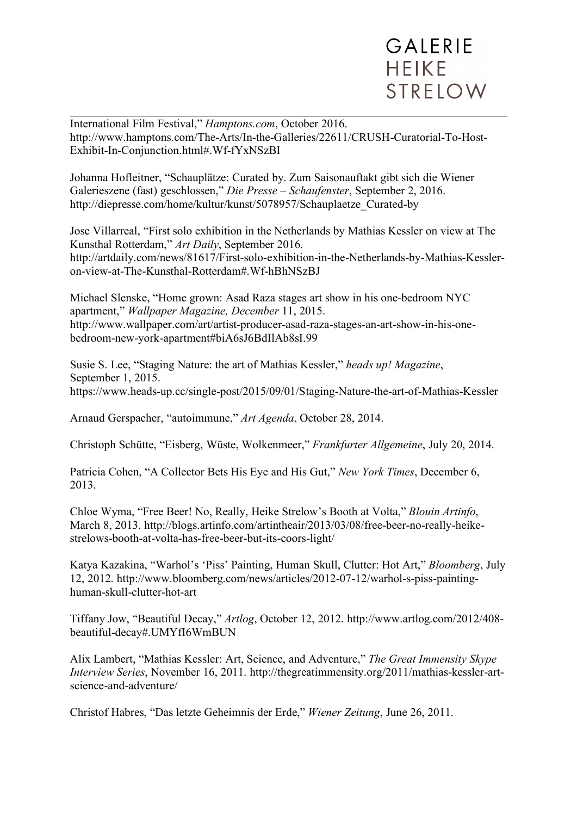International Film Festival," *Hamptons.com*, October 2016. http://www.hamptons.com/The-Arts/In-the-Galleries/22611/CRUSH-Curatorial-To-Host-Exhibit-In-Conjunction.html#.Wf-fYxNSzBI

Johanna Hofleitner, "Schauplätze: Curated by. Zum Saisonauftakt gibt sich die Wiener Galerieszene (fast) geschlossen," *Die Presse – Schaufenster*, September 2, 2016. http://diepresse.com/home/kultur/kunst/5078957/Schauplaetze\_Curated-by

Jose Villarreal, "First solo exhibition in the Netherlands by Mathias Kessler on view at The Kunsthal Rotterdam," *Art Daily*, September 2016. http://artdaily.com/news/81617/First-solo-exhibition-in-the-Netherlands-by-Mathias-Kessleron-view-at-The-Kunsthal-Rotterdam#.Wf-hBhNSzBJ

Michael Slenske, "Home grown: Asad Raza stages art show in his one-bedroom NYC apartment," *Wallpaper Magazine, December* 11, 2015. http://www.wallpaper.com/art/artist-producer-asad-raza-stages-an-art-show-in-his-onebedroom-new-york-apartment#biA6sJ6BdIlAb8sI.99

Susie S. Lee, "Staging Nature: the art of Mathias Kessler," *heads up! Magazine*, September 1, 2015. https://www.heads-up.cc/single-post/2015/09/01/Staging-Nature-the-art-of-Mathias-Kessler

Arnaud Gerspacher, "autoimmune," *Art Agenda*, October 28, 2014.

Christoph Schütte, "Eisberg, Wüste, Wolkenmeer," *Frankfurter Allgemeine*, July 20, 2014.

Patricia Cohen, "A Collector Bets His Eye and His Gut," *New York Times*, December 6, 2013.

Chloe Wyma, "Free Beer! No, Really, Heike Strelow's Booth at Volta," *Blouin Artinfo*, March 8, 2013. http://blogs.artinfo.com/artintheair/2013/03/08/free-beer-no-really-heikestrelows-booth-at-volta-has-free-beer-but-its-coors-light/

Katya Kazakina, "Warhol's 'Piss' Painting, Human Skull, Clutter: Hot Art," *Bloomberg*, July 12, 2012. http://www.bloomberg.com/news/articles/2012-07-12/warhol-s-piss-paintinghuman-skull-clutter-hot-art

Tiffany Jow, "Beautiful Decay," *Artlog*, October 12, 2012. http://www.artlog.com/2012/408 beautiful-decay#.UMYfI6WmBUN

Alix Lambert, "Mathias Kessler: Art, Science, and Adventure," *The Great Immensity Skype Interview Series*, November 16, 2011. http://thegreatimmensity.org/2011/mathias-kessler-artscience-and-adventure/

Christof Habres, "Das letzte Geheimnis der Erde," *Wiener Zeitung*, June 26, 2011.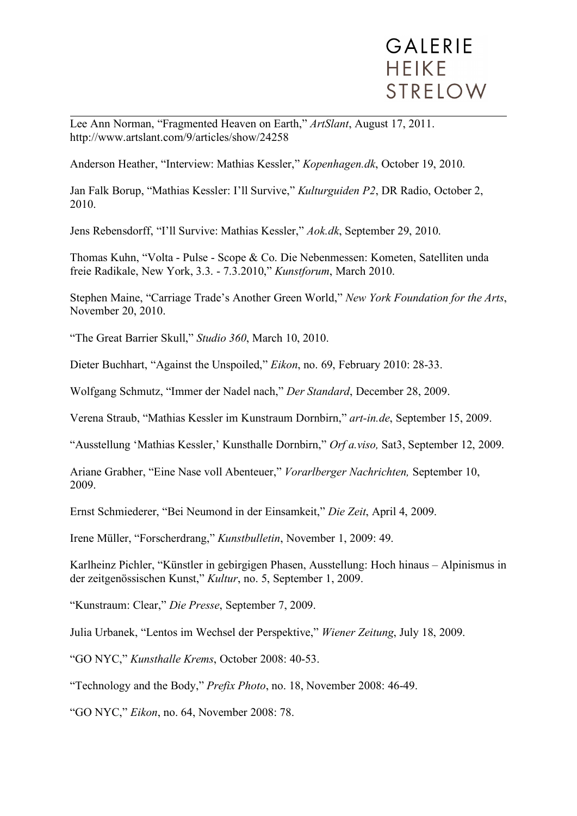Lee Ann Norman, "Fragmented Heaven on Earth," *ArtSlant*, August 17, 2011. http://www.artslant.com/9/articles/show/24258

Anderson Heather, "Interview: Mathias Kessler," *Kopenhagen.dk*, October 19, 2010.

Jan Falk Borup, "Mathias Kessler: I'll Survive," *Kulturguiden P2*, DR Radio, October 2, 2010.

Jens Rebensdorff, "I'll Survive: Mathias Kessler," *Aok.dk*, September 29, 2010.

Thomas Kuhn, "Volta - Pulse - Scope & Co. Die Nebenmessen: Kometen, Satelliten unda freie Radikale, New York, 3.3. - 7.3.2010," *Kunstforum*, March 2010.

Stephen Maine, "Carriage Trade's Another Green World," *New York Foundation for the Arts*, November 20, 2010.

"The Great Barrier Skull," *Studio 360*, March 10, 2010.

Dieter Buchhart, "Against the Unspoiled," *Eikon*, no. 69, February 2010: 28-33.

Wolfgang Schmutz, "Immer der Nadel nach," *Der Standard*, December 28, 2009.

Verena Straub, "Mathias Kessler im Kunstraum Dornbirn," *art-in.de*, September 15, 2009.

"Ausstellung 'Mathias Kessler,' Kunsthalle Dornbirn," *Orf a.viso,* Sat3, September 12, 2009.

Ariane Grabher, "Eine Nase voll Abenteuer," *Vorarlberger Nachrichten,* September 10, 2009.

Ernst Schmiederer, "Bei Neumond in der Einsamkeit," *Die Zeit*, April 4, 2009.

Irene Müller, "Forscherdrang," *Kunstbulletin*, November 1, 2009: 49.

Karlheinz Pichler, "Künstler in gebirgigen Phasen, Ausstellung: Hoch hinaus – Alpinismus in der zeitgenössischen Kunst," *Kultur*, no. 5, September 1, 2009.

"Kunstraum: Clear," *Die Presse*, September 7, 2009.

Julia Urbanek, "Lentos im Wechsel der Perspektive," *Wiener Zeitung*, July 18, 2009.

"GO NYC," *Kunsthalle Krems*, October 2008: 40-53.

"Technology and the Body," *Prefix Photo*, no. 18, November 2008: 46-49.

"GO NYC," *Eikon*, no. 64, November 2008: 78.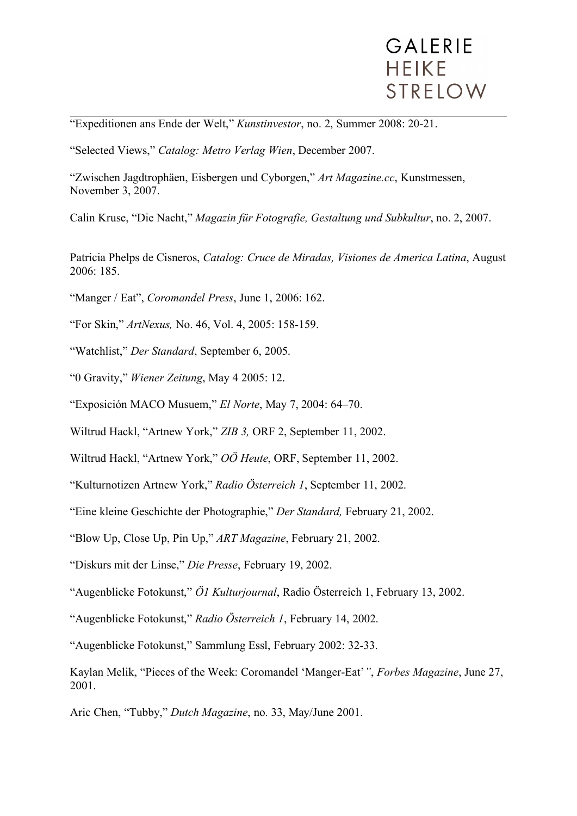"Expeditionen ans Ende der Welt," *Kunstinvestor*, no. 2, Summer 2008: 20-21.

"Selected Views," *Catalog: Metro Verlag Wien*, December 2007.

"Zwischen Jagdtrophäen, Eisbergen und Cyborgen," *Art Magazine.cc*, Kunstmessen, November 3, 2007.

Calin Kruse, "Die Nacht," *Magazin für Fotografie, Gestaltung und Subkultur*, no. 2, 2007.

Patricia Phelps de Cisneros, *Catalog: Cruce de Miradas, Visiones de America Latina*, August 2006: 185.

- "Manger / Eat", *Coromandel Press*, June 1, 2006: 162.
- "For Skin," *ArtNexus,* No. 46, Vol. 4, 2005: 158-159.
- "Watchlist," *Der Standard*, September 6, 2005.
- "0 Gravity," *Wiener Zeitung*, May 4 2005: 12.
- "Exposición MACO Musuem," *El Norte*, May 7, 2004: 64–70.
- Wiltrud Hackl, "Artnew York," *ZIB 3,* ORF 2, September 11, 2002.
- Wiltrud Hackl, "Artnew York," *OÖ Heute*, ORF, September 11, 2002.
- "Kulturnotizen Artnew York," *Radio Österreich 1*, September 11, 2002.
- "Eine kleine Geschichte der Photographie," *Der Standard,* February 21, 2002.
- "Blow Up, Close Up, Pin Up," *ART Magazine*, February 21, 2002.
- "Diskurs mit der Linse," *Die Presse*, February 19, 2002.
- "Augenblicke Fotokunst," *Ö1 Kulturjournal*, Radio Österreich 1, February 13, 2002.
- "Augenblicke Fotokunst," *Radio Österreich 1*, February 14, 2002.
- "Augenblicke Fotokunst," Sammlung Essl, February 2002: 32-33.
- Kaylan Melik, "Pieces of the Week: Coromandel 'Manger-Eat'*"*, *Forbes Magazine*, June 27, 2001.
- Aric Chen, "Tubby," *Dutch Magazine*, no. 33, May/June 2001.